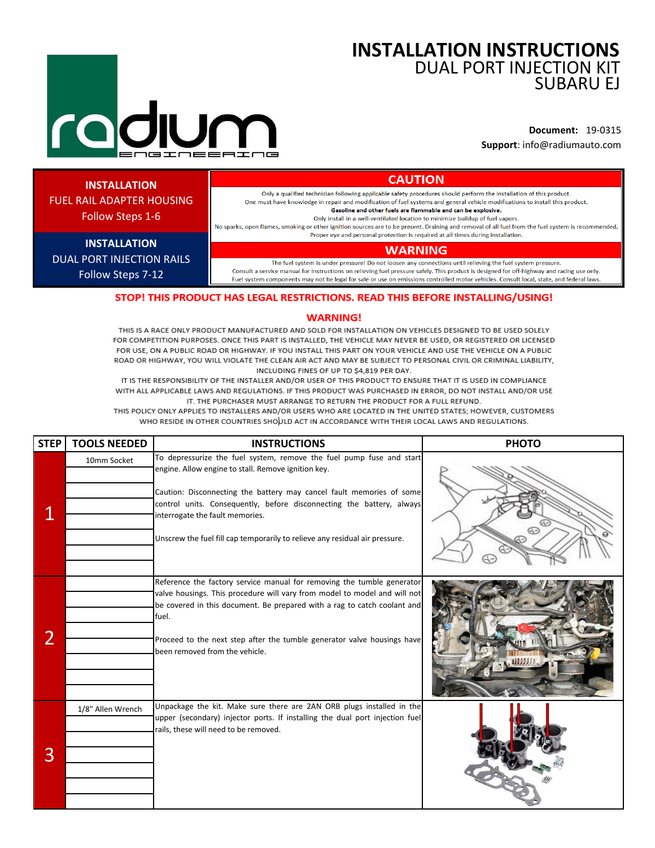# **INSTALLATION INSTRUCTIONS** DUAL PORT INJECTION KIT SUBARU EJ

**Document:** 19-0315 **Support**: info@radiumauto.com

# **INSTALLATION**

FUEL RAIL ADAPTER HOUSING

**CAUTION** Only a qualified technician following applicable safety procedures should perform the installation of this product. One must have knowledge in repair and modification of fuel systems and general vehicle modifications to install this product. Gasoline and other fuels are flammable and can be explosive. Only install in a well-ventilated location to minimize buildup of fuel vapors.

No sparks, open flames, smoking or other ignition sources are to be present. Draining and removal of all fuel from the fuel system is recommended. Proper eye and personal protection is required at all times during installation.

# **WARNING**

The fuel system is under pressure! Do not loosen any connections until relieving the fuel system pressure. Consult a service manual for instructions on relieving fuel pressure safely. This product is designed for off-highway and racing use only. Fuel system components may not be legal for sale or use on emissions controlled motor vehicles. Consult local, state, and federal laws.

# STOP! THIS PRODUCT HAS LEGAL RESTRICTIONS. READ THIS BEFORE INSTALLING/USING!

### **WARNING!**

THIS IS A RACE ONLY PRODUCT MANUFACTURED AND SOLD FOR INSTALLATION ON VEHICLES DESIGNED TO BE USED SOLELY FOR COMPETITION PURPOSES. ONCE THIS PART IS INSTALLED, THE VEHICLE MAY NEVER BE USED, OR REGISTERED OR LICENSED FOR USE, ON A PUBLIC ROAD OR HIGHWAY. IF YOU INSTALL THIS PART ON YOUR VEHICLE AND USE THE VEHICLE ON A PUBLIC ROAD OR HIGHWAY, YOU WILL VIOLATE THE CLEAN AIR ACT AND MAY BE SUBJECT TO PERSONAL CIVIL OR CRIMINAL LIABILITY, INCLUDING FINES OF UP TO \$4,819 PER DAY.

IT IS THE RESPONSIBILITY OF THE INSTALLER AND/OR USER OF THIS PRODUCT TO ENSURE THAT IT IS USED IN COMPLIANCE WITH ALL APPLICABLE LAWS AND REGULATIONS. IF THIS PRODUCT WAS PURCHASED IN ERROR, DO NOT INSTALL AND/OR USE IT. THE PURCHASER MUST ARRANGE TO RETURN THE PRODUCT FOR A FULL REFUND.

THIS POLICY ONLY APPLIES TO INSTALLERS AND/OR USERS WHO ARE LOCATED IN THE UNITED STATES: HOWEVER, CUSTOMERS WHO RESIDE IN OTHER COUNTRIES SHOULD ACT IN ACCORDANCE WITH THEIR LOCAL LAWS AND REGULATIONS.

| <b>STEP</b> | <b>TOOLS NEEDED</b> | <b>INSTRUCTIONS</b>                                                                                                                                                                                                                                                                                                                                                                            | <b>PHOTO</b> |
|-------------|---------------------|------------------------------------------------------------------------------------------------------------------------------------------------------------------------------------------------------------------------------------------------------------------------------------------------------------------------------------------------------------------------------------------------|--------------|
|             | 10mm Socket         | To depressurize the fuel system, remove the fuel pump fuse and start<br>engine. Allow engine to stall. Remove ignition key.<br>Caution: Disconnecting the battery may cancel fault memories of some<br>control units. Consequently, before disconnecting the battery, always<br>interrogate the fault memories.<br>Unscrew the fuel fill cap temporarily to relieve any residual air pressure. |              |
| 2           |                     | Reference the factory service manual for removing the tumble generator<br>valve housings. This procedure will vary from model to model and will not<br>be covered in this document. Be prepared with a rag to catch coolant and<br>fuel.<br>Proceed to the next step after the tumble generator valve housings have<br>been removed from the vehicle.                                          |              |
| 3           | 1/8" Allen Wrench   | Unpackage the kit. Make sure there are 2AN ORB plugs installed in the<br>upper (secondary) injector ports. If installing the dual port injection fuel<br>rails, these will need to be removed.                                                                                                                                                                                                 |              |

Follow Steps 1-6

**INSTALLATION** DUAL PORT INJECTION RAILS Follow Steps 7-12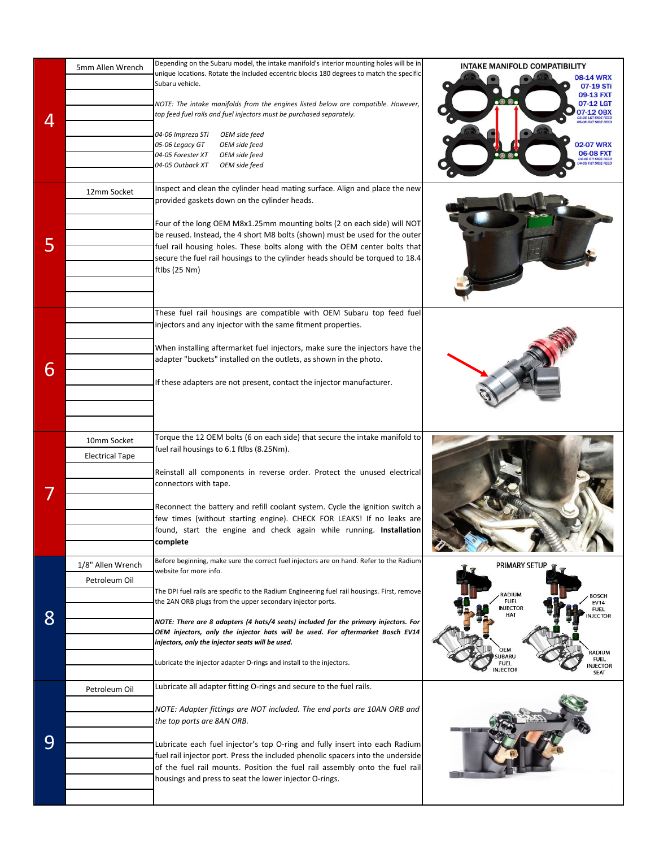| 4 | 5mm Allen Wrench<br>12mm Socket       | Depending on the Subaru model, the intake manifold's interior mounting holes will be in<br>unique locations. Rotate the included eccentric blocks 180 degrees to match the specific<br>Subaru vehicle.<br>NOTE: The intake manifolds from the engines listed below are compatible. However,<br>top feed fuel rails and fuel injectors must be purchased separately.<br>04-06 Impreza STi<br>OEM side feed<br>05-06 Legacy GT<br>OEM side feed<br>04-05 Forester XT<br>OEM side feed<br>04-05 Outback XT<br>OEM side feed<br>Inspect and clean the cylinder head mating surface. Align and place the new<br>provided gaskets down on the cylinder heads.<br>Four of the long OEM M8x1.25mm mounting bolts (2 on each side) will NOT | INTAKE MANIFOLD COMPATIBILITY<br><b>08-14 WRX</b><br>07-19 STi<br>09-13 FXT<br>.0 0.<br>07-12 LGT<br>07-12 OBX<br>05 06 LGT SIDE FEED<br>05-06 OXT SIDE FEED<br><b>02-07 WRX</b><br>$06-08$ FXT<br>04-06 STI SIDE FEED<br>04-05 FXT SIDE FEED      |
|---|---------------------------------------|------------------------------------------------------------------------------------------------------------------------------------------------------------------------------------------------------------------------------------------------------------------------------------------------------------------------------------------------------------------------------------------------------------------------------------------------------------------------------------------------------------------------------------------------------------------------------------------------------------------------------------------------------------------------------------------------------------------------------------|----------------------------------------------------------------------------------------------------------------------------------------------------------------------------------------------------------------------------------------------------|
| 5 |                                       | be reused. Instead, the 4 short M8 bolts (shown) must be used for the outer<br>fuel rail housing holes. These bolts along with the OEM center bolts that<br>secure the fuel rail housings to the cylinder heads should be torqued to 18.4<br>ftlbs (25 Nm)<br>These fuel rail housings are compatible with OEM Subaru top feed fuel                                                                                                                                                                                                                                                                                                                                                                                                |                                                                                                                                                                                                                                                    |
| 6 |                                       | injectors and any injector with the same fitment properties.<br>When installing aftermarket fuel injectors, make sure the injectors have the<br>adapter "buckets" installed on the outlets, as shown in the photo.<br>If these adapters are not present, contact the injector manufacturer.                                                                                                                                                                                                                                                                                                                                                                                                                                        |                                                                                                                                                                                                                                                    |
|   | 10mm Socket<br><b>Electrical Tape</b> | Torque the 12 OEM bolts (6 on each side) that secure the intake manifold to<br>fuel rail housings to 6.1 ftlbs (8.25Nm).<br>Reinstall all components in reverse order. Protect the unused electrical<br>connectors with tape.<br>Reconnect the battery and refill coolant system. Cycle the ignition switch a<br>few times (without starting engine). CHECK FOR LEAKS! If no leaks are<br>found, start the engine and check again while running. Installation<br>complete                                                                                                                                                                                                                                                          |                                                                                                                                                                                                                                                    |
| 8 | 1/8" Allen Wrench<br>Petroleum Oil    | Before beginning, make sure the correct fuel injectors are on hand. Refer to the Radium<br>website for more info.<br>The DPI fuel rails are specific to the Radium Engineering fuel rail housings. First, remove<br>the 2AN ORB plugs from the upper secondary injector ports.<br>NOTE: There are 8 adapters (4 hats/4 seats) included for the primary injectors. For<br>OEM injectors, only the injector hats will be used. For aftermarket Bosch EV14<br>injectors, only the injector seats will be used.<br>Lubricate the injector adapter O-rings and install to the injectors.                                                                                                                                                | PRIMARY SETUP<br>RADIUM<br><b>BOSCH</b><br><b>FUEL</b><br><b>EV14</b><br><b>INJECTOR</b><br><b>FUEL</b><br>HAT<br><b>NJECTOR</b><br>OEM<br>RADIUM<br><b>UBARU</b><br><b>FUEL</b><br><b>FUEL</b><br><b>NJECTOR</b><br><b>NJECTOR</b><br><b>SEAT</b> |
| 9 | Petroleum Oil                         | Lubricate all adapter fitting O-rings and secure to the fuel rails.<br>NOTE: Adapter fittings are NOT included. The end ports are 10AN ORB and<br>the top ports are 8AN ORB.<br>Lubricate each fuel injector's top O-ring and fully insert into each Radium<br>fuel rail injector port. Press the included phenolic spacers into the underside<br>of the fuel rail mounts. Position the fuel rail assembly onto the fuel rail<br>housings and press to seat the lower injector O-rings.                                                                                                                                                                                                                                            |                                                                                                                                                                                                                                                    |